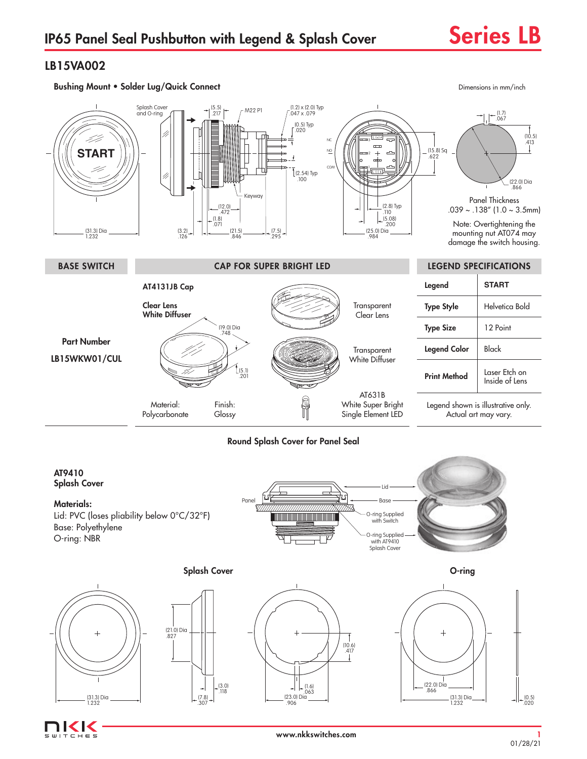## LB15VA002

(31.3) Dia 1.232

IKK  $CHE$ 



### Round Splash Cover for Panel Seal

#### AT9410 Splash Cover Lid Panel Base Materials: 877, 777777777777777777777X Lid: PVC (loses pliability below 0°C/32°F) O-ring Supplied with Switch <u> Tanzania (h. 1878).</u> Base: Polyethylene O-ring Supplied with AT9410 O-ring: NBR Splash Cover Splash Cover **O-ring**  $\overline{1}$ (21.0) Dia .827  $\overline{+}$ (10.6) .417

(7.8) .307

 $(3.0)$ .118 (22.0) Dia .866

(31.3) Dia 1.232

 $\leftarrow$   $\left| \right. \left. + \right. \left. \right. \left. \left. \right. \left. \right. \left. \left. \right. \right. \left. \left. \right. \right. \left. \left. \right. \right. \left. \left. \right. \left. \right. \left. \left. \right. \right. \left. \left. \right. \right. \left. \left. \right. \right. \left. \left. \left. \right. \right. \left. \left. \right. \right. \left. \left. \right. \right. \left. \left. \right. \left. \right. \left. \left. \right. \right. \left. \left. \right. \right. \left. \left. \right. \right. \left.$  $(23.0)$  Dia .906

(0.5) .020